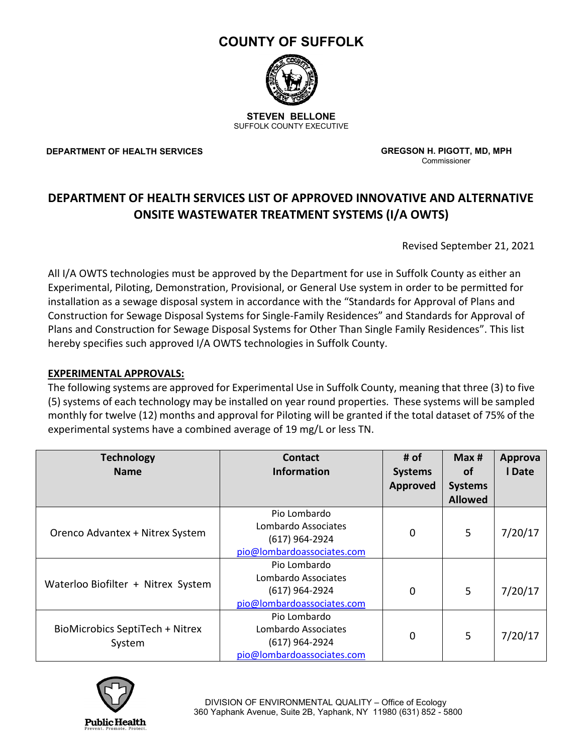# **COUNTY OF SUFFOLK**



**STEVEN BELLONE** SUFFOLK COUNTY EXECUTIVE

**DEPARTMENT OF HEALTH SERVICES**

 **GREGSON H. PIGOTT, MD, MPH** Commissioner

## **DEPARTMENT OF HEALTH SERVICES LIST OF APPROVED INNOVATIVE AND ALTERNATIVE ONSITE WASTEWATER TREATMENT SYSTEMS (I/A OWTS)**

Revised September 21, 2021

All I/A OWTS technologies must be approved by the Department for use in Suffolk County as either an Experimental, Piloting, Demonstration, Provisional, or General Use system in order to be permitted for installation as a sewage disposal system in accordance with the "Standards for Approval of Plans and Construction for Sewage Disposal Systems for Single-Family Residences" and Standards for Approval of Plans and Construction for Sewage Disposal Systems for Other Than Single Family Residences". This list hereby specifies such approved I/A OWTS technologies in Suffolk County.

#### **EXPERIMENTAL APPROVALS:**

The following systems are approved for Experimental Use in Suffolk County, meaning that three (3) to five (5) systems of each technology may be installed on year round properties. These systems will be sampled monthly for twelve (12) months and approval for Piloting will be granted if the total dataset of 75% of the experimental systems have a combined average of 19 mg/L or less TN.

| <b>Technology</b><br><b>Name</b>          | <b>Contact</b><br><b>Information</b>                                                | # of<br><b>Systems</b><br><b>Approved</b> | Max #<br><b>of</b><br><b>Systems</b><br><b>Allowed</b> | Approva<br>I Date |
|-------------------------------------------|-------------------------------------------------------------------------------------|-------------------------------------------|--------------------------------------------------------|-------------------|
| Orenco Advantex + Nitrex System           | Pio Lombardo<br>Lombardo Associates<br>(617) 964-2924<br>pio@lombardoassociates.com | 0                                         | 5                                                      | 7/20/17           |
| Waterloo Biofilter + Nitrex System        | Pio Lombardo<br>Lombardo Associates<br>(617) 964-2924<br>pio@lombardoassociates.com | 0                                         | 5                                                      | 7/20/17           |
| BioMicrobics SeptiTech + Nitrex<br>System | Pio Lombardo<br>Lombardo Associates<br>(617) 964-2924<br>pio@lombardoassociates.com | 0                                         | 5                                                      | 7/20/17           |

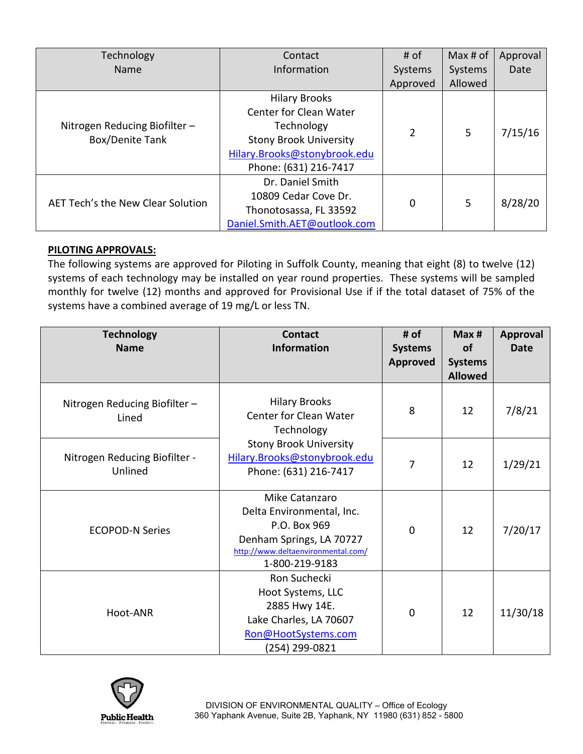| Technology                        | Contact                       | # of     | Max# of | Approval |
|-----------------------------------|-------------------------------|----------|---------|----------|
| Name                              | Information                   | Systems  | Systems | Date     |
|                                   |                               | Approved | Allowed |          |
|                                   | <b>Hilary Brooks</b>          |          |         |          |
|                                   | <b>Center for Clean Water</b> |          |         |          |
| Nitrogen Reducing Biofilter-      | Technology                    | 2        | 5       |          |
| Box/Denite Tank                   | <b>Stony Brook University</b> |          |         | 7/15/16  |
|                                   | Hilary.Brooks@stonybrook.edu  |          |         |          |
|                                   | Phone: (631) 216-7417         |          |         |          |
| AET Tech's the New Clear Solution | Dr. Daniel Smith              |          |         |          |
|                                   | 10809 Cedar Cove Dr.          | $\Omega$ | 5       |          |
|                                   | Thonotosassa, FL 33592        |          |         | 8/28/20  |
|                                   | Daniel.Smith.AET@outlook.com  |          |         |          |

#### **PILOTING APPROVALS:**

The following systems are approved for Piloting in Suffolk County, meaning that eight (8) to twelve (12) systems of each technology may be installed on year round properties. These systems will be sampled monthly for twelve (12) months and approved for Provisional Use if if the total dataset of 75% of the systems have a combined average of 19 mg/L or less TN.

| <b>Technology</b><br><b>Name</b>         | <b>Contact</b><br><b>Information</b>                                                                                                            | # of<br><b>Systems</b><br><b>Approved</b> | Max#<br><b>of</b><br><b>Systems</b><br><b>Allowed</b> | Approval<br><b>Date</b> |
|------------------------------------------|-------------------------------------------------------------------------------------------------------------------------------------------------|-------------------------------------------|-------------------------------------------------------|-------------------------|
| Nitrogen Reducing Biofilter-<br>Lined    | <b>Hilary Brooks</b><br>Center for Clean Water<br>Technology                                                                                    | 8                                         | 12                                                    | 7/8/21                  |
| Nitrogen Reducing Biofilter -<br>Unlined | <b>Stony Brook University</b><br>Hilary.Brooks@stonybrook.edu<br>Phone: (631) 216-7417                                                          | 7                                         | 12                                                    | 1/29/21                 |
| <b>ECOPOD-N Series</b>                   | Mike Catanzaro<br>Delta Environmental, Inc.<br>P.O. Box 969<br>Denham Springs, LA 70727<br>http://www.deltaenvironmental.com/<br>1-800-219-9183 | $\mathbf 0$                               | 12                                                    | 7/20/17                 |
| Hoot-ANR                                 | Ron Suchecki<br>Hoot Systems, LLC<br>2885 Hwy 14E.<br>Lake Charles, LA 70607<br>Ron@HootSystems.com<br>(254) 299-0821                           | $\Omega$                                  | 12                                                    | 11/30/18                |

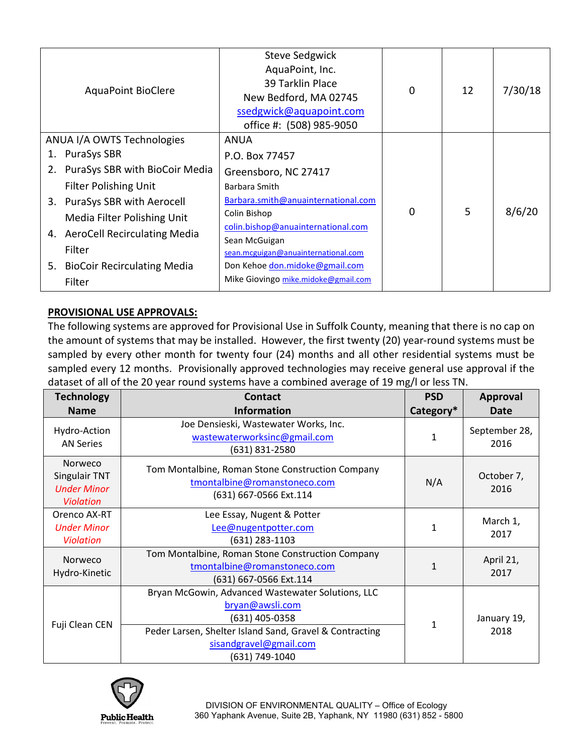| <b>AquaPoint BioClere</b>         | <b>Steve Sedgwick</b><br>AquaPoint, Inc.<br>39 Tarklin Place<br>New Bedford, MA 02745<br>ssedgwick@aquapoint.com<br>office #: (508) 985-9050 | 0 | 12 | 7/30/18 |
|-----------------------------------|----------------------------------------------------------------------------------------------------------------------------------------------|---|----|---------|
| ANUA I/A OWTS Technologies        | ANUA                                                                                                                                         |   |    |         |
| <b>PuraSys SBR</b><br>1.          | P.O. Box 77457                                                                                                                               |   |    |         |
| 2. PuraSys SBR with BioCoir Media | Greensboro, NC 27417                                                                                                                         |   |    |         |
| <b>Filter Polishing Unit</b>      | Barbara Smith                                                                                                                                |   |    |         |
| 3. PuraSys SBR with Aerocell      | Barbara.smith@anuainternational.com                                                                                                          |   |    |         |
| Media Filter Polishing Unit       | Colin Bishop                                                                                                                                 | 0 | 5  | 8/6/20  |
| 4. AeroCell Recirculating Media   | colin.bishop@anuainternational.com                                                                                                           |   |    |         |
| Filter                            | Sean McGuigan                                                                                                                                |   |    |         |
|                                   | sean.mcguigan@anuainternational.com                                                                                                          |   |    |         |
| 5. BioCoir Recirculating Media    | Don Kehoe don.midoke@gmail.com                                                                                                               |   |    |         |
| Filter                            | Mike Giovingo mike.midoke@gmail.com                                                                                                          |   |    |         |

### **PROVISIONAL USE APPROVALS:**

The following systems are approved for Provisional Use in Suffolk County, meaning that there is no cap on the amount of systems that may be installed. However, the first twenty (20) year-round systems must be sampled by every other month for twenty four (24) months and all other residential systems must be sampled every 12 months. Provisionally approved technologies may receive general use approval if the dataset of all of the 20 year round systems have a combined average of 19 mg/l or less TN.

| <b>Technology</b>                                                         | <b>Contact</b>                                                                                                                                                                                | <b>PSD</b>   | <b>Approval</b>       |
|---------------------------------------------------------------------------|-----------------------------------------------------------------------------------------------------------------------------------------------------------------------------------------------|--------------|-----------------------|
| <b>Name</b>                                                               | <b>Information</b>                                                                                                                                                                            | Category*    | Date                  |
| Hydro-Action<br><b>AN Series</b>                                          | Joe Densieski, Wastewater Works, Inc.<br>wastewaterworksinc@gmail.com<br>(631) 831-2580                                                                                                       | $\mathbf{1}$ | September 28,<br>2016 |
| Norweco<br><b>Singulair TNT</b><br><b>Under Minor</b><br><b>Violation</b> | Tom Montalbine, Roman Stone Construction Company<br>tmontalbine@romanstoneco.com<br>(631) 667-0566 Ext.114                                                                                    | N/A          | October 7,<br>2016    |
| Orenco AX-RT<br><b>Under Minor</b><br><b>Violation</b>                    | Lee Essay, Nugent & Potter<br>Lee@nugentpotter.com<br>(631) 283-1103                                                                                                                          | $\mathbf{1}$ | March 1,<br>2017      |
| Norweco<br>Hydro-Kinetic                                                  | Tom Montalbine, Roman Stone Construction Company<br>tmontalbine@romanstoneco.com<br>(631) 667-0566 Ext.114                                                                                    | $\mathbf{1}$ | April 21,<br>2017     |
| Fuji Clean CEN                                                            | Bryan McGowin, Advanced Wastewater Solutions, LLC<br>bryan@awsli.com<br>(631) 405-0358<br>Peder Larsen, Shelter Island Sand, Gravel & Contracting<br>sisandgravel@gmail.com<br>(631) 749-1040 | 1            | January 19,<br>2018   |